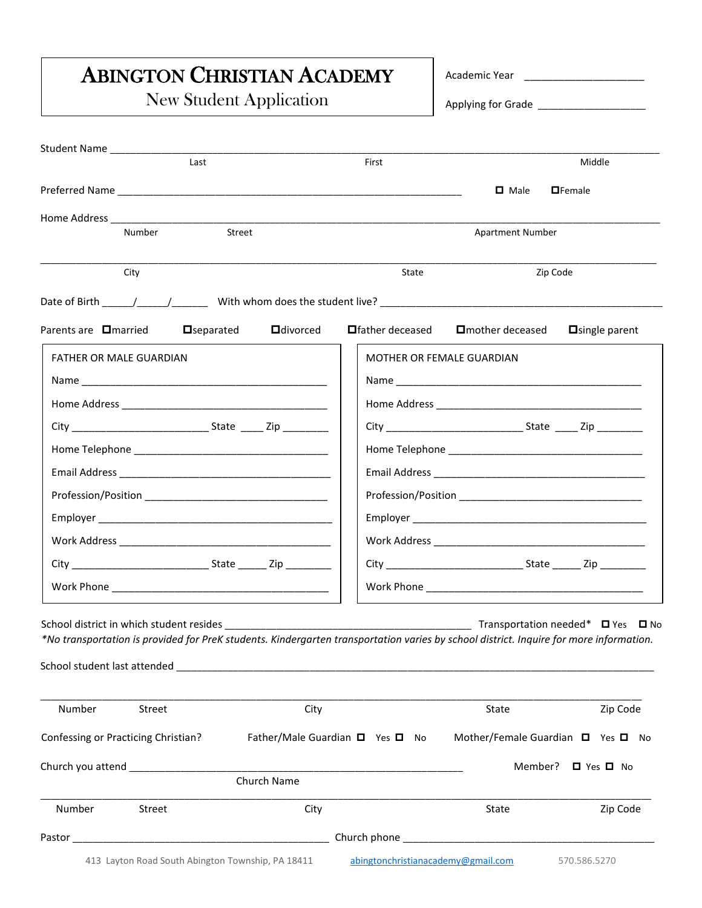## ABINGTON CHRISTIAN ACADEMY

New Student Application

Academic Year \_\_\_\_\_\_\_\_\_\_\_\_\_\_\_\_\_\_\_\_\_

Applying for Grade \_\_\_\_\_\_\_\_\_\_\_\_\_\_\_\_\_\_\_\_\_

| Student Name ______________                                                                                                                                                                    |                                                                   |                   |                                             |  |
|------------------------------------------------------------------------------------------------------------------------------------------------------------------------------------------------|-------------------------------------------------------------------|-------------------|---------------------------------------------|--|
| Last                                                                                                                                                                                           | First                                                             |                   | Middle                                      |  |
|                                                                                                                                                                                                |                                                                   | $\Box$ Male       | <b>O</b> Female                             |  |
|                                                                                                                                                                                                |                                                                   |                   |                                             |  |
| Street<br>Number                                                                                                                                                                               | <b>Apartment Number</b>                                           |                   |                                             |  |
| City                                                                                                                                                                                           | State                                                             | Zip Code          |                                             |  |
|                                                                                                                                                                                                |                                                                   |                   |                                             |  |
| Parents are <b>O</b> married<br><b>O</b> divorced<br>$\Box$ separated                                                                                                                          | <b>□</b> father deceased                                          | □ mother deceased | $\Box$ single parent                        |  |
| FATHER OR MALE GUARDIAN                                                                                                                                                                        | MOTHER OR FEMALE GUARDIAN                                         |                   |                                             |  |
|                                                                                                                                                                                                |                                                                   |                   |                                             |  |
|                                                                                                                                                                                                |                                                                   |                   |                                             |  |
|                                                                                                                                                                                                |                                                                   |                   |                                             |  |
|                                                                                                                                                                                                |                                                                   |                   |                                             |  |
|                                                                                                                                                                                                |                                                                   |                   |                                             |  |
|                                                                                                                                                                                                |                                                                   |                   |                                             |  |
|                                                                                                                                                                                                |                                                                   |                   |                                             |  |
|                                                                                                                                                                                                |                                                                   |                   |                                             |  |
|                                                                                                                                                                                                |                                                                   |                   |                                             |  |
|                                                                                                                                                                                                |                                                                   |                   |                                             |  |
| School district in which student resides ___________<br>*No transportation is provided for PreK students. Kindergarten transportation varies by school district. Inquire for more information. |                                                                   |                   | Transportation needed* $\Box$ Yes $\Box$ No |  |
| Number<br>Street<br>City                                                                                                                                                                       |                                                                   | State             | Zip Code                                    |  |
| Confessing or Practicing Christian?                                                                                                                                                            | Father/Male Guardian □ Yes □ No Mother/Female Guardian □ Yes □ No |                   |                                             |  |
| Church you attend <b>Church</b> you attend                                                                                                                                                     |                                                                   | Member?           | □ Yes □ No                                  |  |
| Church Name                                                                                                                                                                                    |                                                                   |                   |                                             |  |
| Number<br>Street<br>City                                                                                                                                                                       |                                                                   | State             | Zip Code                                    |  |
|                                                                                                                                                                                                |                                                                   |                   |                                             |  |